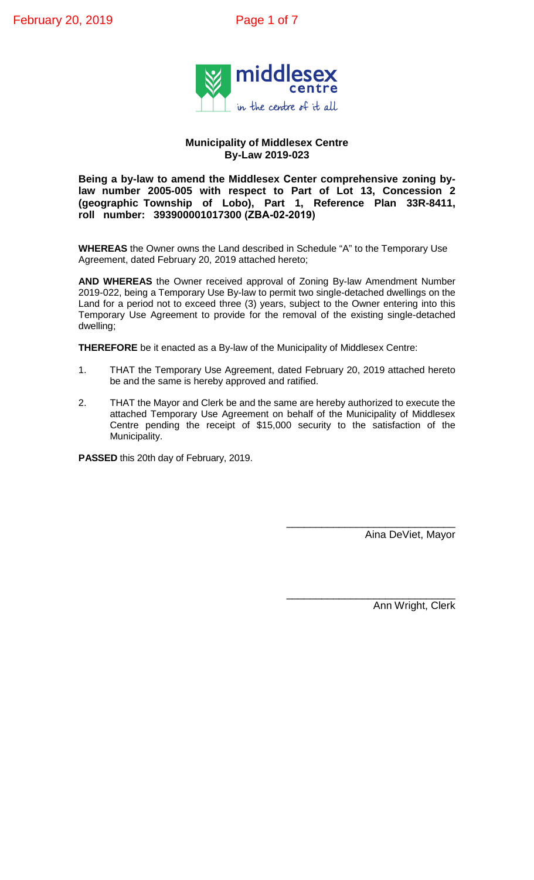

### **Municipality of Middlesex Centre By-Law 2019-023**

**Being a by-law to amend the Middlesex Center comprehensive zoning bylaw number 2005-005 with respect to Part of Lot 13, Concession 2 (geographic Township of Lobo), Part 1, Reference Plan 33R-8411, roll number: 393900001017300 (ZBA-02-2019)**

**WHEREAS** the Owner owns the Land described in Schedule "A" to the Temporary Use Agreement, dated February 20, 2019 attached hereto;

**AND WHEREAS** the Owner received approval of Zoning By-law Amendment Number 2019-022, being a Temporary Use By-law to permit two single-detached dwellings on the Land for a period not to exceed three (3) years, subject to the Owner entering into this Temporary Use Agreement to provide for the removal of the existing single-detached dwelling;

**THEREFORE** be it enacted as a By-law of the Municipality of Middlesex Centre:

- 1. THAT the Temporary Use Agreement, dated February 20, 2019 attached hereto be and the same is hereby approved and ratified.
- 2. THAT the Mayor and Clerk be and the same are hereby authorized to execute the attached Temporary Use Agreement on behalf of the Municipality of Middlesex Centre pending the receipt of \$15,000 security to the satisfaction of the Municipality.

**PASSED** this 20th day of February, 2019.

\_\_\_\_\_\_\_\_\_\_\_\_\_\_\_\_\_\_\_\_\_\_\_\_\_\_\_\_\_ Aina DeViet, Mayor

Ann Wright, Clerk

\_\_\_\_\_\_\_\_\_\_\_\_\_\_\_\_\_\_\_\_\_\_\_\_\_\_\_\_\_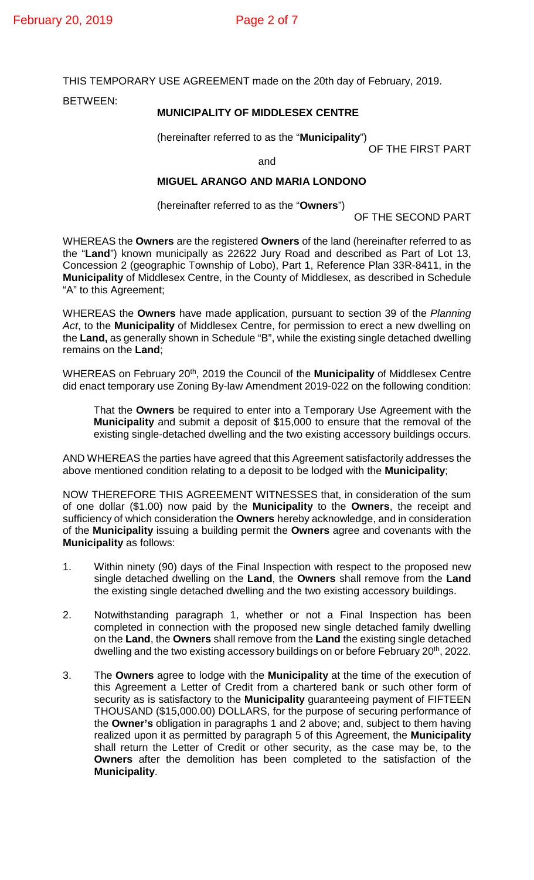THIS TEMPORARY USE AGREEMENT made on the 20th day of February, 2019.

BETWEEN:

## **MUNICIPALITY OF MIDDLESEX CENTRE**

(hereinafter referred to as the "**Municipality**")

OF THE FIRST PART

and

# **MIGUEL ARANGO AND MARIA LONDONO**

(hereinafter referred to as the "**Owners**")

OF THE SECOND PART

WHEREAS the **Owners** are the registered **Owners** of the land (hereinafter referred to as the "**Land**") known municipally as 22622 Jury Road and described as Part of Lot 13, Concession 2 (geographic Township of Lobo), Part 1, Reference Plan 33R-8411, in the **Municipality** of Middlesex Centre, in the County of Middlesex, as described in Schedule "A" to this Agreement;

WHEREAS the **Owners** have made application, pursuant to section 39 of the *Planning Act*, to the **Municipality** of Middlesex Centre, for permission to erect a new dwelling on the **Land,** as generally shown in Schedule "B", while the existing single detached dwelling remains on the **Land**;

WHEREAS on February 20th, 2019 the Council of the **Municipality** of Middlesex Centre did enact temporary use Zoning By-law Amendment 2019-022 on the following condition:

That the **Owners** be required to enter into a Temporary Use Agreement with the **Municipality** and submit a deposit of \$15,000 to ensure that the removal of the existing single-detached dwelling and the two existing accessory buildings occurs.

AND WHEREAS the parties have agreed that this Agreement satisfactorily addresses the above mentioned condition relating to a deposit to be lodged with the **Municipality**;

NOW THEREFORE THIS AGREEMENT WITNESSES that, in consideration of the sum of one dollar (\$1.00) now paid by the **Municipality** to the **Owners**, the receipt and sufficiency of which consideration the **Owners** hereby acknowledge, and in consideration of the **Municipality** issuing a building permit the **Owners** agree and covenants with the **Municipality** as follows:

- 1. Within ninety (90) days of the Final Inspection with respect to the proposed new single detached dwelling on the **Land**, the **Owners** shall remove from the **Land** the existing single detached dwelling and the two existing accessory buildings.
- 2. Notwithstanding paragraph 1, whether or not a Final Inspection has been completed in connection with the proposed new single detached family dwelling on the **Land**, the **Owners** shall remove from the **Land** the existing single detached dwelling and the two existing accessory buildings on or before February 20<sup>th</sup>, 2022.
- 3. The **Owners** agree to lodge with the **Municipality** at the time of the execution of this Agreement a Letter of Credit from a chartered bank or such other form of security as is satisfactory to the **Municipality** guaranteeing payment of FIFTEEN THOUSAND (\$15,000.00) DOLLARS, for the purpose of securing performance of the **Owner's** obligation in paragraphs 1 and 2 above; and, subject to them having realized upon it as permitted by paragraph 5 of this Agreement, the **Municipality** shall return the Letter of Credit or other security, as the case may be, to the **Owners** after the demolition has been completed to the satisfaction of the **Municipality**.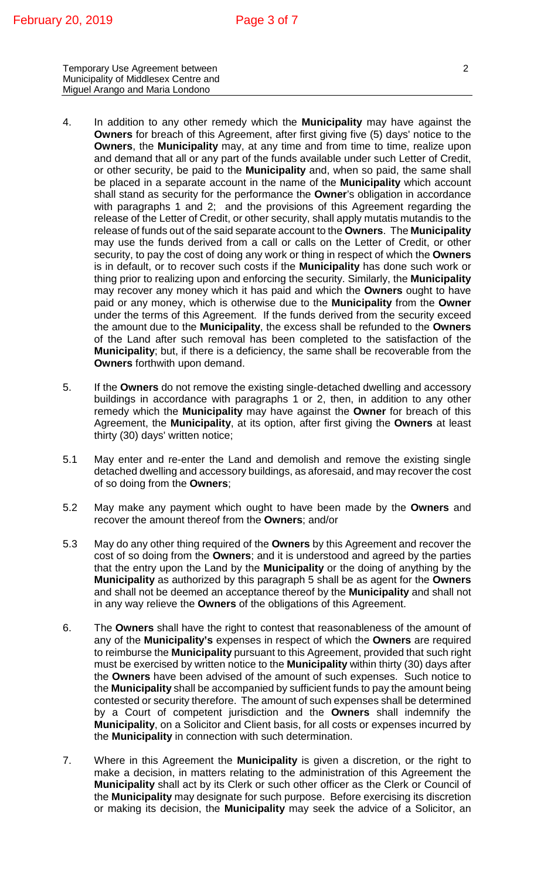Temporary Use Agreement between 22 Municipality of Middlesex Centre and Miguel Arango and Maria Londono

- 4. In addition to any other remedy which the **Municipality** may have against the **Owners** for breach of this Agreement, after first giving five (5) days' notice to the **Owners**, the **Municipality** may, at any time and from time to time, realize upon and demand that all or any part of the funds available under such Letter of Credit, or other security, be paid to the **Municipality** and, when so paid, the same shall be placed in a separate account in the name of the **Municipality** which account shall stand as security for the performance the **Owner**'s obligation in accordance with paragraphs 1 and 2; and the provisions of this Agreement regarding the release of the Letter of Credit, or other security, shall apply mutatis mutandis to the release of funds out of the said separate account to the **Owners**. The **Municipality** may use the funds derived from a call or calls on the Letter of Credit, or other security, to pay the cost of doing any work or thing in respect of which the **Owners** is in default, or to recover such costs if the **Municipality** has done such work or thing prior to realizing upon and enforcing the security. Similarly, the **Municipality** may recover any money which it has paid and which the **Owners** ought to have paid or any money, which is otherwise due to the **Municipality** from the **Owner** under the terms of this Agreement. If the funds derived from the security exceed the amount due to the **Municipality**, the excess shall be refunded to the **Owners** of the Land after such removal has been completed to the satisfaction of the **Municipality**; but, if there is a deficiency, the same shall be recoverable from the **Owners** forthwith upon demand.
- 5. If the **Owners** do not remove the existing single-detached dwelling and accessory buildings in accordance with paragraphs 1 or 2, then, in addition to any other remedy which the **Municipality** may have against the **Owner** for breach of this Agreement, the **Municipality**, at its option, after first giving the **Owners** at least thirty (30) days' written notice;
- 5.1 May enter and re-enter the Land and demolish and remove the existing single detached dwelling and accessory buildings, as aforesaid, and may recover the cost of so doing from the **Owners**;
- 5.2 May make any payment which ought to have been made by the **Owners** and recover the amount thereof from the **Owners**; and/or
- 5.3 May do any other thing required of the **Owners** by this Agreement and recover the cost of so doing from the **Owners**; and it is understood and agreed by the parties that the entry upon the Land by the **Municipality** or the doing of anything by the **Municipality** as authorized by this paragraph 5 shall be as agent for the **Owners** and shall not be deemed an acceptance thereof by the **Municipality** and shall not in any way relieve the **Owners** of the obligations of this Agreement.
- 6. The **Owners** shall have the right to contest that reasonableness of the amount of any of the **Municipality's** expenses in respect of which the **Owners** are required to reimburse the **Municipality** pursuant to this Agreement, provided that such right must be exercised by written notice to the **Municipality** within thirty (30) days after the **Owners** have been advised of the amount of such expenses. Such notice to the **Municipality** shall be accompanied by sufficient funds to pay the amount being contested or security therefore. The amount of such expenses shall be determined by a Court of competent jurisdiction and the **Owners** shall indemnify the **Municipality**, on a Solicitor and Client basis, for all costs or expenses incurred by the **Municipality** in connection with such determination.
- 7. Where in this Agreement the **Municipality** is given a discretion, or the right to make a decision, in matters relating to the administration of this Agreement the **Municipality** shall act by its Clerk or such other officer as the Clerk or Council of the **Municipality** may designate for such purpose. Before exercising its discretion or making its decision, the **Municipality** may seek the advice of a Solicitor, an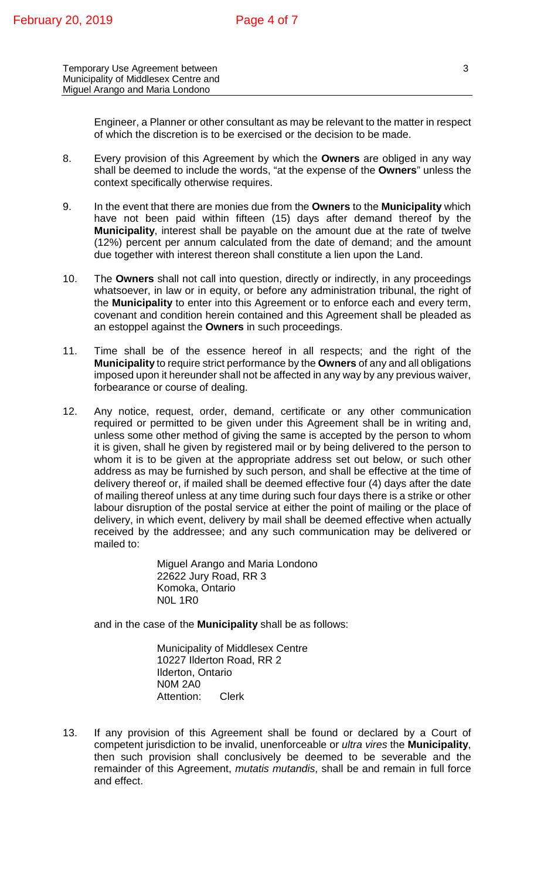Temporary Use Agreement between 33 Municipality of Middlesex Centre and Miguel Arango and Maria Londono

Engineer, a Planner or other consultant as may be relevant to the matter in respect of which the discretion is to be exercised or the decision to be made.

- 8. Every provision of this Agreement by which the **Owners** are obliged in any way shall be deemed to include the words, "at the expense of the **Owners**" unless the context specifically otherwise requires.
- 9. In the event that there are monies due from the **Owners** to the **Municipality** which have not been paid within fifteen (15) days after demand thereof by the **Municipality**, interest shall be payable on the amount due at the rate of twelve (12%) percent per annum calculated from the date of demand; and the amount due together with interest thereon shall constitute a lien upon the Land.
- 10. The **Owners** shall not call into question, directly or indirectly, in any proceedings whatsoever, in law or in equity, or before any administration tribunal, the right of the **Municipality** to enter into this Agreement or to enforce each and every term, covenant and condition herein contained and this Agreement shall be pleaded as an estoppel against the **Owners** in such proceedings.
- 11. Time shall be of the essence hereof in all respects; and the right of the **Municipality** to require strict performance by the **Owners** of any and all obligations imposed upon it hereunder shall not be affected in any way by any previous waiver, forbearance or course of dealing.
- 12. Any notice, request, order, demand, certificate or any other communication required or permitted to be given under this Agreement shall be in writing and, unless some other method of giving the same is accepted by the person to whom it is given, shall he given by registered mail or by being delivered to the person to whom it is to be given at the appropriate address set out below, or such other address as may be furnished by such person, and shall be effective at the time of delivery thereof or, if mailed shall be deemed effective four (4) days after the date of mailing thereof unless at any time during such four days there is a strike or other labour disruption of the postal service at either the point of mailing or the place of delivery, in which event, delivery by mail shall be deemed effective when actually received by the addressee; and any such communication may be delivered or mailed to:

Miguel Arango and Maria Londono 22622 Jury Road, RR 3 Komoka, Ontario N0L 1R0

and in the case of the **Municipality** shall be as follows:

Municipality of Middlesex Centre 10227 Ilderton Road, RR 2 Ilderton, Ontario N0M 2A0 Attention: Clerk

13. If any provision of this Agreement shall be found or declared by a Court of competent jurisdiction to be invalid, unenforceable or *ultra vires* the **Municipality**, then such provision shall conclusively be deemed to be severable and the remainder of this Agreement, *mutatis mutandis*, shall be and remain in full force and effect.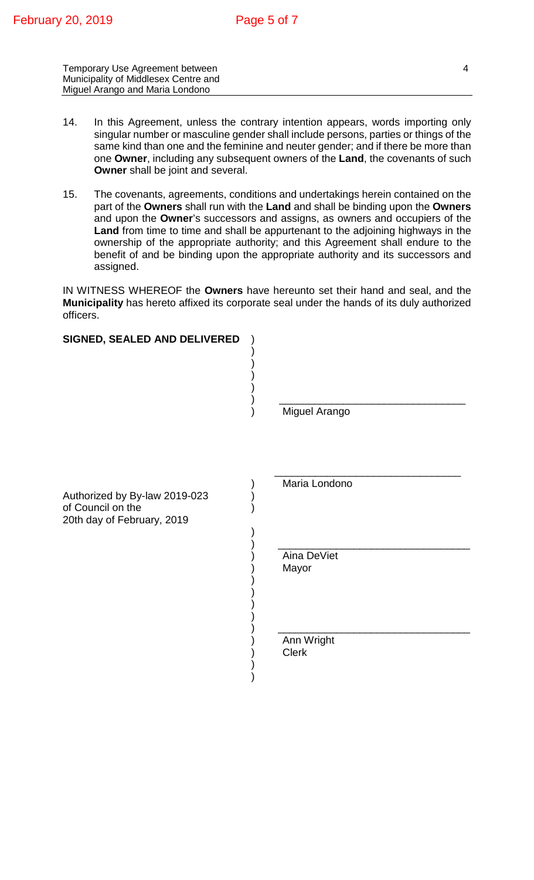Temporary Use Agreement between 44 Municipality of Middlesex Centre and Miguel Arango and Maria Londono

- 14. In this Agreement, unless the contrary intention appears, words importing only singular number or masculine gender shall include persons, parties or things of the same kind than one and the feminine and neuter gender; and if there be more than one **Owner**, including any subsequent owners of the **Land**, the covenants of such **Owner** shall be joint and several.
- 15. The covenants, agreements, conditions and undertakings herein contained on the part of the **Owners** shall run with the **Land** and shall be binding upon the **Owners** and upon the **Owner**'s successors and assigns, as owners and occupiers of the **Land** from time to time and shall be appurtenant to the adjoining highways in the ownership of the appropriate authority; and this Agreement shall endure to the benefit of and be binding upon the appropriate authority and its successors and assigned.

IN WITNESS WHEREOF the **Owners** have hereunto set their hand and seal, and the **Municipality** has hereto affixed its corporate seal under the hands of its duly authorized officers.

| SIGNED, SEALED AND DELIVERED                                                     |                            |
|----------------------------------------------------------------------------------|----------------------------|
|                                                                                  | Miguel Arango              |
| Authorized by By-law 2019-023<br>of Council on the<br>20th day of February, 2019 | Maria Londono              |
|                                                                                  | Aina DeViet<br>Mayor       |
|                                                                                  | Ann Wright<br><b>Clerk</b> |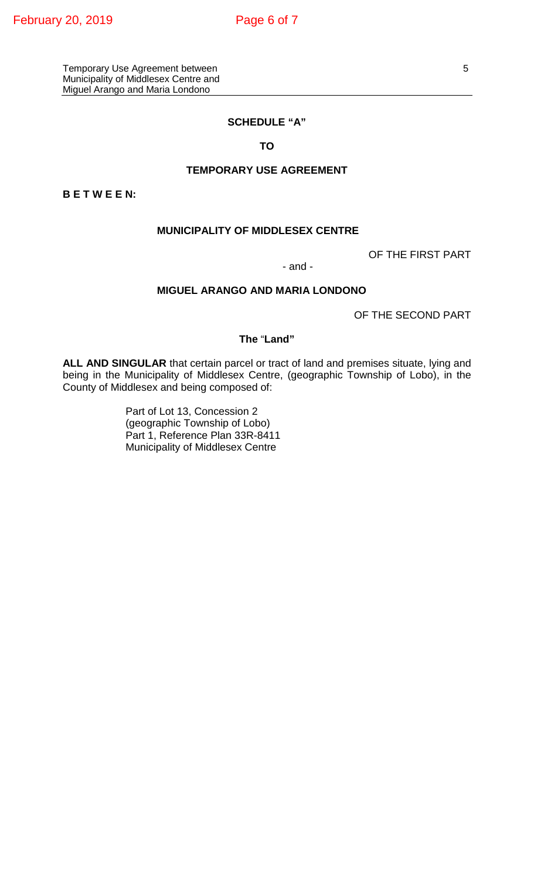#### **SCHEDULE "A"**

#### **TO**

#### **TEMPORARY USE AGREEMENT**

**B E T W E E N:**

## **MUNICIPALITY OF MIDDLESEX CENTRE**

OF THE FIRST PART

#### - and -

## **MIGUEL ARANGO AND MARIA LONDONO**

OF THE SECOND PART

## **The** "**Land"**

**ALL AND SINGULAR** that certain parcel or tract of land and premises situate, lying and being in the Municipality of Middlesex Centre, (geographic Township of Lobo), in the County of Middlesex and being composed of:

> Part of Lot 13, Concession 2 (geographic Township of Lobo) Part 1, Reference Plan 33R-8411 Municipality of Middlesex Centre